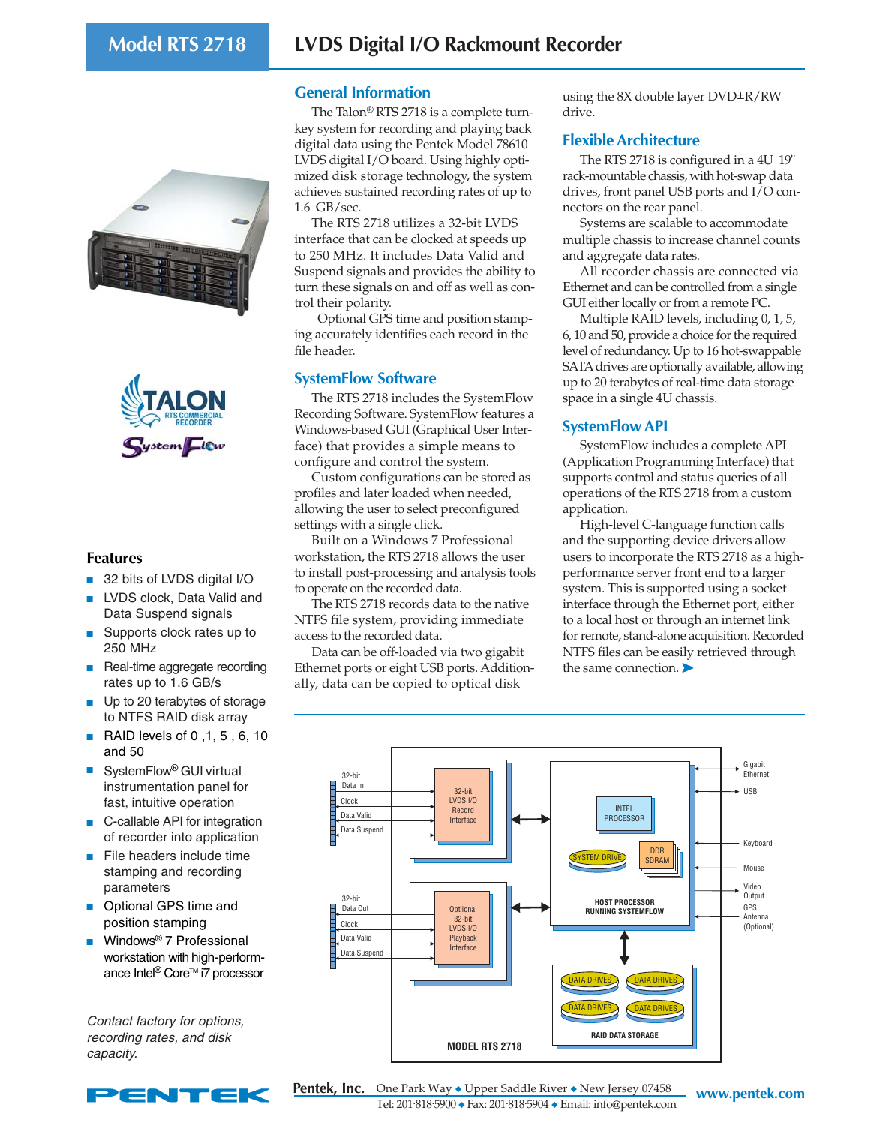



## **Features**

- 32 bits of LVDS digital I/O
- LVDS clock, Data Valid and Data Suspend signals
- Supports clock rates up to 250 MHz
- Real-time aggregate recording rates up to 1.6 GB/s
- Up to 20 terabytes of storage to NTFS RAID disk array
- RAID levels of 0,1, 5, 6, 10 and 50
- SystemFlow<sup>®</sup> GUI virtual instrumentation panel for fast, intuitive operation
- C-callable API for integration of recorder into application
- File headers include time stamping and recording parameters
- Optional GPS time and position stamping
- Windows<sup>®</sup> 7 Professional workstation with high-performance Intel<sup>®</sup> Core™ i7 processor

Contact factory for options, recording rates, and disk capacity.



## **General Information**

The Talon<sup>®</sup> RTS 2718 is a complete turnkey system for recording and playing back digital data using the Pentek Model 78610 LVDS digital I/O board. Using highly optimized disk storage technology, the system achieves sustained recording rates of up to 1.6 GB/sec.

The RTS 2718 utilizes a 32-bit LVDS interface that can be clocked at speeds up to 250 MHz. It includes Data Valid and Suspend signals and provides the ability to turn these signals on and off as well as control their polarity.

 Optional GPS time and position stamping accurately identifies each record in the file header.

## **SystemFlow Software**

The RTS 2718 includes the SystemFlow Recording Software. SystemFlow features a Windows-based GUI (Graphical User Interface) that provides a simple means to configure and control the system.

Custom configurations can be stored as profiles and later loaded when needed, allowing the user to select preconfigured settings with a single click.

Built on a Windows 7 Professional workstation, the RTS 2718 allows the user to install post-processing and analysis tools to operate on the recorded data.

The RTS 2718 records data to the native NTFS file system, providing immediate access to the recorded data.

Data can be off-loaded via two gigabit Ethernet ports or eight USB ports. Additionally, data can be copied to optical disk

using the 8X double layer DVD±R/RW drive.

## **Flexible Architecture**

The RTS 2718 is configured in a 4U 19" rack-mountable chassis, with hot-swap data drives, front panel USB ports and I/O connectors on the rear panel.

Systems are scalable to accommodate multiple chassis to increase channel counts and aggregate data rates.

All recorder chassis are connected via Ethernet and can be controlled from a single GUI either locally or from a remote PC.

Multiple RAID levels, including 0, 1, 5, 6, 10 and 50, provide a choice for the required level of redundancy. Up to 16 hot-swappable SATA drives are optionally available, allowing up to 20 terabytes of real-time data storage space in a single 4U chassis.

## **SystemFlow API**

SystemFlow includes a complete API (Application Programming Interface) that supports control and status queries of all operations of the RTS 2718 from a custom application.

High-level C-language function calls and the supporting device drivers allow users to incorporate the RTS 2718 as a highperformance server front end to a larger system. This is supported using a socket interface through the Ethernet port, either to a local host or through an internet link for remote, stand-alone acquisition. Recorded NTFS files can be easily retrieved through the same connection. ➤



**Pentek, Inc.** One Park Way ◆ Upper Saddle River ◆ New Jersey 07458 www.pentek.com Tel: 201.818.5900 ◆ Fax: 201.818.5904 ◆ Email: info@pentek.com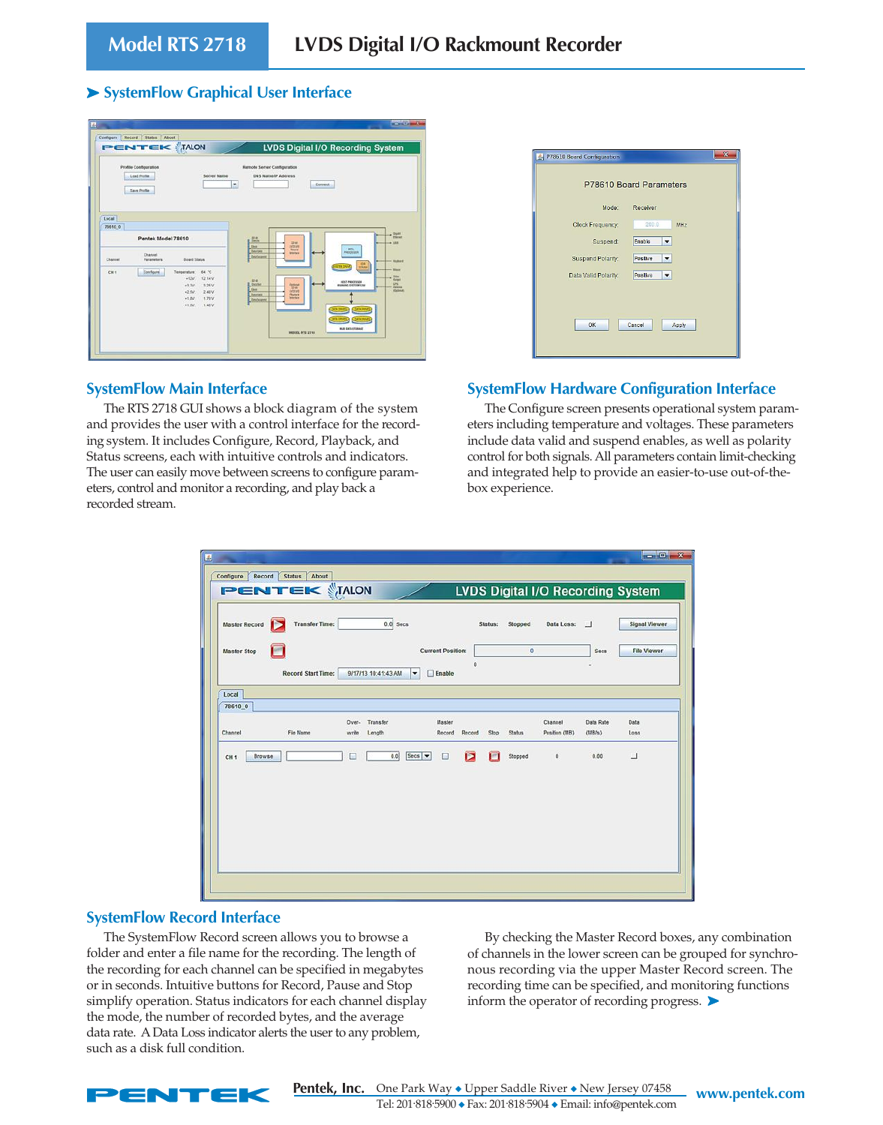#### ➤ **SystemFlow Graphical User Interface**

|                            | Profile Configuration<br>Load Profile                | <b>Server Name</b>                                                                                                                                  | Remote Server Configuration<br>DNS NamelP Address<br>۰             |                                                                                                    | Connect                                                                                                                               |                                                 |
|----------------------------|------------------------------------------------------|-----------------------------------------------------------------------------------------------------------------------------------------------------|--------------------------------------------------------------------|----------------------------------------------------------------------------------------------------|---------------------------------------------------------------------------------------------------------------------------------------|-------------------------------------------------|
| Local<br>78610 0           | <b>Save Profile</b><br>Pentek Model 78610<br>Channel |                                                                                                                                                     | 燃<br>Ŕ<br><b>E</b> Theat<br>Distribute<br><b>IT Dis Scanner</b>    | 23-64<br><b>TITLE STE</b><br><b>Interface</b>                                                      | <b>APRIL</b><br><b>ANDERSON</b>                                                                                                       | $+$ Date:<br>$-4.188$                           |
| Channel<br>CH <sub>1</sub> | <b>Parameters</b><br>Configure                       | <b>Board Status</b><br>Temperature<br>64 °C<br>$+12V$<br>12.14 V<br>$-3.3V$<br>325V<br>$-2.5V$<br>2.48 V<br>$-1.8V$<br>1.79 V<br>$+1.057$<br>t 48 V | <b>Link</b><br>B Gua<br><b>E Para Hala</b><br><b>Ellies Income</b> | <b>Distanced</b><br>23 48<br>DOM V2<br><b>Mayback</b><br><b>Interface</b><br><b>MODEL RTS 2710</b> | $rac{000}{10000}$<br>HOLT-PROCESSOR<br><b><i>BUSING ENETWORLDW</i></b><br><b>SCRIPT</b><br><b>SCS DIAK</b><br><b>RAD DETA STORAGE</b> | - <i>Index</i><br>Marie<br>34<br><b>Advised</b> |

#### **SystemFlow Main Interface**

The RTS 2718 GUI shows a block diagram of the system and provides the user with a control interface for the recording system. It includes Configure, Record, Playback, and Status screens, each with intuitive controls and indicators. The user can easily move between screens to configure parameters, control and monitor a recording, and play back a recorded stream.

|                      | P78610 Board Parameters              |
|----------------------|--------------------------------------|
| Mode:                | Receiver                             |
| Clock Frequency:     | 200.0<br>MHz                         |
| Suspend:             | Enable                               |
| Suspend Polarity:    | Positive                             |
| Data Valid Polarity: | Positive<br>$\overline{\phantom{a}}$ |
| OK                   | Cancel<br>Apply                      |

#### **SystemFlow Hardware Configuration Interface**

The Configure screen presents operational system parameters including temperature and voltages. These parameters include data valid and suspend enables, as well as polarity control for both signals. All parameters contain limit-checking and integrated help to provide an easier-to-use out-of-thebox experience.

| $\mathbf{E}$                                  |                                         |                          |                                          |                          |                            |                      |
|-----------------------------------------------|-----------------------------------------|--------------------------|------------------------------------------|--------------------------|----------------------------|----------------------|
| Record<br><b>Status</b><br>About<br>Configure |                                         |                          |                                          |                          |                            |                      |
| <b>PENTEK TALON</b>                           |                                         |                          | <b>LVDS Digital I/O Recording System</b> |                          |                            |                      |
| <b>Transfer Time:</b><br><b>Master Record</b> | $0.0$ Secs                              |                          | Status:<br>Stopped                       | Data Loss:               |                            | <b>Signal Viewer</b> |
| <b>Master Stop</b>                            |                                         | <b>Current Position:</b> | o                                        |                          | <b>Secs</b>                | <b>File Viewer</b>   |
|                                               |                                         | $\circ$                  |                                          |                          |                            |                      |
| <b>Record Start Time:</b>                     | 9/17/13 10:41:43 AM<br>▼                | Enable                   |                                          |                          |                            |                      |
| Local                                         |                                         |                          |                                          |                          |                            |                      |
| 78610 0                                       |                                         |                          |                                          |                          |                            |                      |
| File Name                                     | Transfer<br>Over-                       | Master                   |                                          | Channel<br>Position (MB) | <b>Data Rate</b><br>(MB/s) | Data                 |
| Channel                                       | Length<br>write                         | Record<br>Record         | Stop<br><b>Status</b>                    |                          |                            | Loss                 |
| Browse<br>CH <sub>1</sub>                     | $Secs$ $\blacktriangledown$<br>0.0<br>п | Е<br>⊡                   | Stopped                                  | $\circ$                  | 0.00                       |                      |
|                                               |                                         |                          |                                          |                          |                            |                      |
|                                               |                                         |                          |                                          |                          |                            |                      |
|                                               |                                         |                          |                                          |                          |                            |                      |
|                                               |                                         |                          |                                          |                          |                            |                      |
|                                               |                                         |                          |                                          |                          |                            |                      |
|                                               |                                         |                          |                                          |                          |                            |                      |
|                                               |                                         |                          |                                          |                          |                            |                      |
|                                               |                                         |                          |                                          |                          |                            |                      |
|                                               |                                         |                          |                                          |                          |                            |                      |

#### **SystemFlow Record Interface**

The SystemFlow Record screen allows you to browse a folder and enter a file name for the recording. The length of the recording for each channel can be specified in megabytes or in seconds. Intuitive buttons for Record, Pause and Stop simplify operation. Status indicators for each channel display the mode, the number of recorded bytes, and the average data rate. A Data Loss indicator alerts the user to any problem, such as a disk full condition.

By checking the Master Record boxes, any combination of channels in the lower screen can be grouped for synchronous recording via the upper Master Record screen. The recording time can be specified, and monitoring functions inform the operator of recording progress. ➤